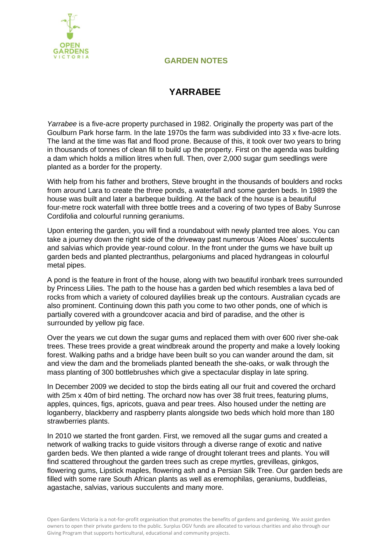

## **GARDEN NOTES**

## **YARRABEE**

*Yarrabee* is a five-acre property purchased in 1982. Originally the property was part of the Goulburn Park horse farm. In the late 1970s the farm was subdivided into 33 x five-acre lots. The land at the time was flat and flood prone. Because of this, it took over two years to bring in thousands of tonnes of clean fill to build up the property. First on the agenda was building a dam which holds a million litres when full. Then, over 2,000 sugar gum seedlings were planted as a border for the property.

With help from his father and brothers, Steve brought in the thousands of boulders and rocks from around Lara to create the three ponds, a waterfall and some garden beds. In 1989 the house was built and later a barbeque building. At the back of the house is a beautiful four-metre rock waterfall with three bottle trees and a covering of two types of Baby Sunrose Cordifolia and colourful running geraniums.

Upon entering the garden, you will find a roundabout with newly planted tree aloes. You can take a journey down the right side of the driveway past numerous 'Aloes Aloes' succulents and salvias which provide year-round colour. In the front under the gums we have built up garden beds and planted plectranthus, pelargoniums and placed hydrangeas in colourful metal pipes.

A pond is the feature in front of the house, along with two beautiful ironbark trees surrounded by Princess Lilies. The path to the house has a garden bed which resembles a lava bed of rocks from which a variety of coloured daylilies break up the contours. Australian cycads are also prominent. Continuing down this path you come to two other ponds, one of which is partially covered with a groundcover acacia and bird of paradise, and the other is surrounded by yellow pig face.

Over the years we cut down the sugar gums and replaced them with over 600 river she-oak trees. These trees provide a great windbreak around the property and make a lovely looking forest. Walking paths and a bridge have been built so you can wander around the dam, sit and view the dam and the bromeliads planted beneath the she-oaks, or walk through the mass planting of 300 bottlebrushes which give a spectacular display in late spring.

In December 2009 we decided to stop the birds eating all our fruit and covered the orchard with 25m x 40m of bird netting. The orchard now has over 38 fruit trees, featuring plums, apples, quinces, figs, apricots, guava and pear trees. Also housed under the netting are loganberry, blackberry and raspberry plants alongside two beds which hold more than 180 strawberries plants.

In 2010 we started the front garden. First, we removed all the sugar gums and created a network of walking tracks to guide visitors through a diverse range of exotic and native garden beds. We then planted a wide range of drought tolerant trees and plants. You will find scattered throughout the garden trees such as crepe myrtles, grevilleas, ginkgos, flowering gums, Lipstick maples, flowering ash and a Persian Silk Tree. Our garden beds are filled with some rare South African plants as well as eremophilas, geraniums, buddleias, agastache, salvias, various succulents and many more.